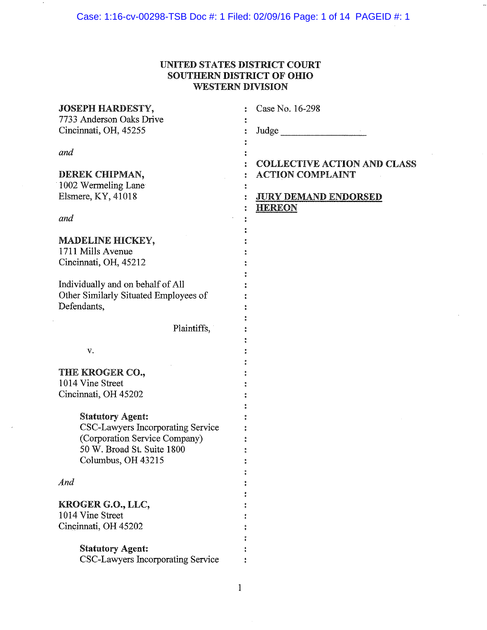## UNITED STATES DISTRICT COURT **SOUTHERN DISTRICT OF OHIO WESTERN DIVISION**

| <b>JOSEPH HARDESTY,</b><br>7733 Anderson Oaks Drive<br>Cincinnati, OH, 45255 | Case No. 16-298<br>Judge           |
|------------------------------------------------------------------------------|------------------------------------|
| and                                                                          | <b>COLLECTIVE ACTION AND CLASS</b> |
| DEREK CHIPMAN,                                                               | <b>ACTION COMPLAINT</b>            |
| 1002 Wermeling Lane                                                          |                                    |
| Elsmere, KY, 41018                                                           | <b>JURY DEMAND ENDORSED</b>        |
| and                                                                          | <b>HEREON</b>                      |
|                                                                              |                                    |
| MADELINE HICKEY,<br>1711 Mills Avenue                                        |                                    |
| Cincinnati, OH, 45212                                                        |                                    |
|                                                                              |                                    |
| Individually and on behalf of All                                            |                                    |
| Other Similarly Situated Employees of                                        |                                    |
| Defendants,                                                                  |                                    |
|                                                                              |                                    |
| Plaintiffs,                                                                  |                                    |
|                                                                              |                                    |
| V.                                                                           |                                    |
|                                                                              |                                    |
| THE KROGER CO.,                                                              |                                    |
| 1014 Vine Street                                                             |                                    |
| Cincinnati, OH 45202                                                         |                                    |
|                                                                              |                                    |
| <b>Statutory Agent:</b>                                                      |                                    |
| CSC-Lawyers Incorporating Service                                            |                                    |
| (Corporation Service Company)<br>50 W. Broad St. Suite 1800                  |                                    |
| Columbus, OH 43215                                                           |                                    |
|                                                                              |                                    |
| And                                                                          |                                    |
|                                                                              |                                    |
| KROGER G.O., LLC,                                                            |                                    |
| 1014 Vine Street                                                             |                                    |
| Cincinnati, OH 45202                                                         |                                    |
|                                                                              |                                    |
| <b>Statutory Agent:</b>                                                      |                                    |
| CSC-Lawyers Incorporating Service                                            |                                    |
|                                                                              |                                    |

 $\mathbf 1$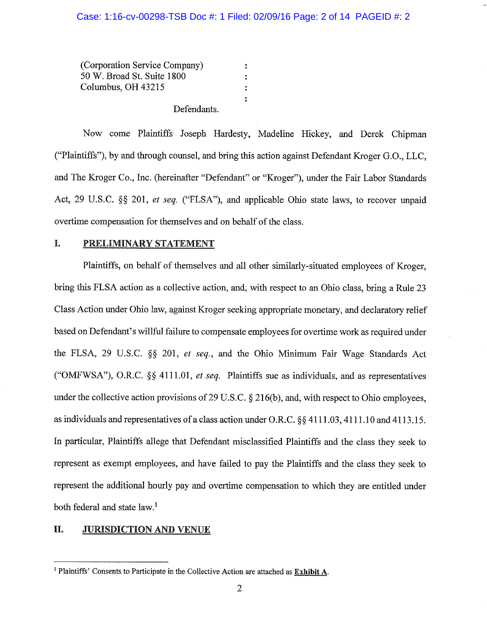(Corporation Service Company)  $\ddot{\cdot}$ 50 W. Broad St. Suite 1800  $\ddot{\cdot}$ Columbus, OH 43215  $\ddot{\cdot}$  $\bullet$ Defendants.

Now come Plaintiffs Joseph Hardesty, Madeline Hickey, and Derek Chipman ("Plaintiffs"), by and through counsel, and bring this action against Defendant Kroger G.O., LLC, and The Kroger Co., Inc. (hereinafter "Defendant" or "Kroger"), under the Fair Labor Standards Act, 29 U.S.C. §§ 201, et seq. ("FLSA"), and applicable Ohio state laws, to recover unpaid overtime compensation for themselves and on behalf of the class.

#### Ĩ. PRELIMINARY STATEMENT

Plaintiffs, on behalf of themselves and all other similarly-situated employees of Kroger. bring this FLSA action as a collective action, and, with respect to an Ohio class, bring a Rule 23 Class Action under Ohio law, against Kroger seeking appropriate monetary, and declaratory relief based on Defendant's willful failure to compensate employees for overtime work as required under the FLSA, 29 U.S.C. §§ 201, et seq., and the Ohio Minimum Fair Wage Standards Act ("OMFWSA"), O.R.C.  $\S\S$  4111.01, et seq. Plaintiffs sue as individuals, and as representatives under the collective action provisions of 29 U.S.C.  $\S 216(b)$ , and, with respect to Ohio employees, as individuals and representatives of a class action under O.R.C.  $\S$  4111.03, 4111.10 and 4113.15. In particular, Plaintiffs allege that Defendant misclassified Plaintiffs and the class they seek to represent as exempt employees, and have failed to pay the Plaintiffs and the class they seek to represent the additional hourly pay and overtime compensation to which they are entitled under both federal and state law.<sup>1</sup>

#### II. **JURISDICTION AND VENUE**

<sup>&</sup>lt;sup>1</sup> Plaintiffs' Consents to Participate in the Collective Action are attached as Exhibit A.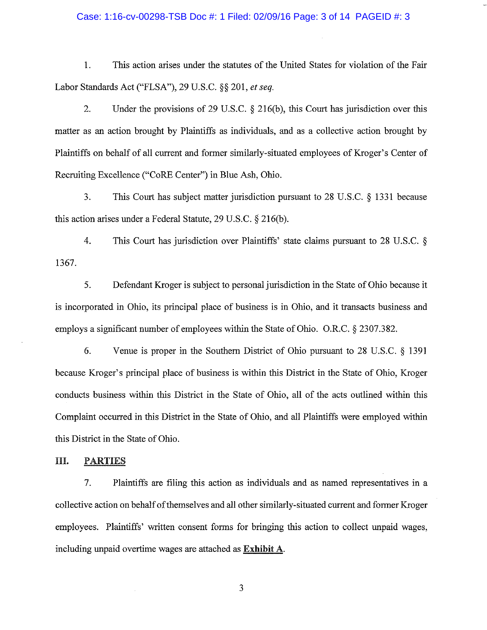### Case: 1:16-cv-00298-TSB Doc #: 1 Filed: 02/09/16 Page: 3 of 14 PAGEID #: 3

1. This action arises under the statutes of the United States for violation of the Fair Labor Standards Act ("FLSA"), 29 U.S.C. §§ 201, et seq.

 $\overline{2}$ . Under the provisions of 29 U.S.C.  $\S$  216(b), this Court has jurisdiction over this matter as an action brought by Plaintiffs as individuals, and as a collective action brought by Plaintiffs on behalf of all current and former similarly-situated employees of Kroger's Center of Recruiting Excellence ("CoRE Center") in Blue Ash, Ohio.

 $3.$ This Court has subject matter jurisdiction pursuant to 28 U.S.C.  $\S$  1331 because this action arises under a Federal Statute, 29 U.S.C.  $\S$  216(b).

4. This Court has jurisdiction over Plaintiffs' state claims pursuant to 28 U.S.C.  $\S$ 1367.

5. Defendant Kroger is subject to personal jurisdiction in the State of Ohio because it is incorporated in Ohio, its principal place of business is in Ohio, and it transacts business and employs a significant number of employees within the State of Ohio. O.R.C. § 2307.382.

6. Venue is proper in the Southern District of Ohio pursuant to 28 U.S.C. § 1391 because Kroger's principal place of business is within this District in the State of Ohio, Kroger conducts business within this District in the State of Ohio, all of the acts outlined within this Complaint occurred in this District in the State of Ohio, and all Plaintiffs were employed within this District in the State of Ohio.

#### III. **PARTIES**

 $7.$ Plaintiffs are filing this action as individuals and as named representatives in a collective action on behalf of themselves and all other similarly-situated current and former Kroger employees. Plaintiffs' written consent forms for bringing this action to collect unpaid wages, including unpaid overtime wages are attached as **Exhibit** A.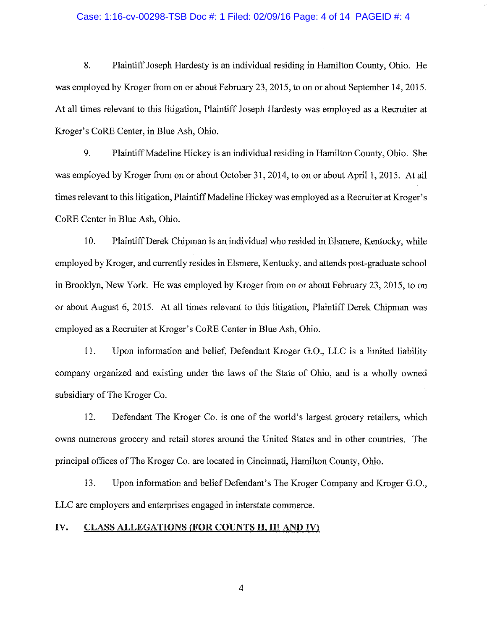#### Case: 1:16-cv-00298-TSB Doc #: 1 Filed: 02/09/16 Page: 4 of 14 PAGEID #: 4

8. Plaintiff Joseph Hardesty is an individual residing in Hamilton County, Ohio. He was employed by Kroger from on or about February 23, 2015, to on or about September 14, 2015. At all times relevant to this litigation, Plaintiff Joseph Hardesty was employed as a Recruiter at Kroger's CoRE Center, in Blue Ash, Ohio.

9. Plaintiff Madeline Hickey is an individual residing in Hamilton County, Ohio. She was employed by Kroger from on or about October 31, 2014, to on or about April 1, 2015. At all times relevant to this litigation, Plaintiff Madeline Hickey was employed as a Recruiter at Kroger's CoRE Center in Blue Ash, Ohio.

10. Plaintiff Derek Chipman is an individual who resided in Elsmere, Kentucky, while employed by Kroger, and currently resides in Elsmere, Kentucky, and attends post-graduate school in Brooklyn, New York. He was employed by Kroger from on or about February 23, 2015, to on or about August 6, 2015. At all times relevant to this litigation, Plaintiff Derek Chipman was employed as a Recruiter at Kroger's CoRE Center in Blue Ash, Ohio.

11. Upon information and belief, Defendant Kroger G.O., LLC is a limited liability company organized and existing under the laws of the State of Ohio, and is a wholly owned subsidiary of The Kroger Co.

12. Defendant The Kroger Co. is one of the world's largest grocery retailers, which owns numerous grocery and retail stores around the United States and in other countries. The principal offices of The Kroger Co. are located in Cincinnati, Hamilton County, Ohio.

Upon information and belief Defendant's The Kroger Company and Kroger G.O., 13. LLC are employers and enterprises engaged in interstate commerce.

#### IV. **CLASS ALLEGATIONS (FOR COUNTS II, III AND IV)**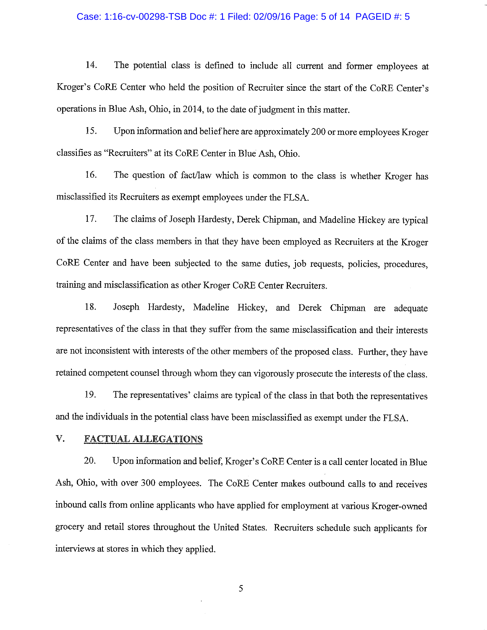#### Case: 1:16-cv-00298-TSB Doc #: 1 Filed: 02/09/16 Page: 5 of 14 PAGEID #: 5

14. The potential class is defined to include all current and former employees at Kroger's CoRE Center who held the position of Recruiter since the start of the CoRE Center's operations in Blue Ash, Ohio, in 2014, to the date of judgment in this matter.

15. Upon information and belief here are approximately 200 or more employees Kroger classifies as "Recruiters" at its CoRE Center in Blue Ash, Ohio.

16. The question of fact/law which is common to the class is whether Kroger has misclassified its Recruiters as exempt employees under the FLSA.

17. The claims of Joseph Hardesty, Derek Chipman, and Madeline Hickey are typical of the claims of the class members in that they have been employed as Recruiters at the Kroger CoRE Center and have been subjected to the same duties, job requests, policies, procedures, training and misclassification as other Kroger CoRE Center Recruiters.

18. Joseph Hardesty, Madeline Hickey, and Derek Chipman are adequate representatives of the class in that they suffer from the same misclassification and their interests are not inconsistent with interests of the other members of the proposed class. Further, they have retained competent counsel through whom they can vigorously prosecute the interests of the class.

19. The representatives' claims are typical of the class in that both the representatives and the individuals in the potential class have been misclassified as exempt under the FLSA.

#### V. **FACTUAL ALLEGATIONS**

20. Upon information and belief, Kroger's CoRE Center is a call center located in Blue Ash, Ohio, with over 300 employees. The CoRE Center makes outbound calls to and receives inbound calls from online applicants who have applied for employment at various Kroger-owned grocery and retail stores throughout the United States. Recruiters schedule such applicants for interviews at stores in which they applied.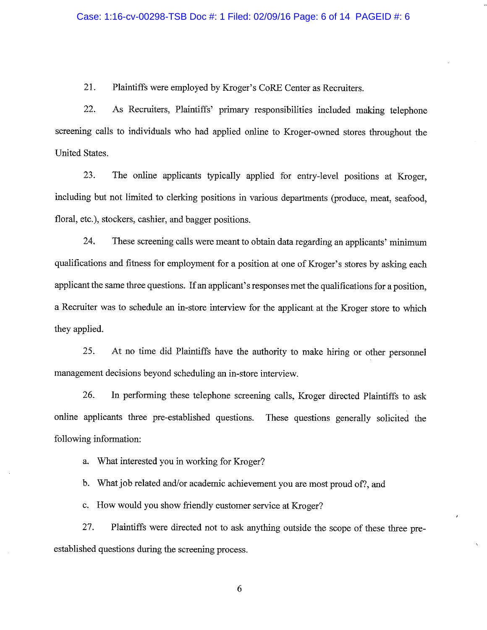21. Plaintiffs were employed by Kroger's CoRE Center as Recruiters.

22. As Recruiters, Plaintiffs' primary responsibilities included making telephone screening calls to individuals who had applied online to Kroger-owned stores throughout the United States.

23. The online applicants typically applied for entry-level positions at Kroger. including but not limited to clerking positions in various departments (produce, meat, seafood, floral, etc.), stockers, cashier, and bagger positions.

24. These screening calls were meant to obtain data regarding an applicants' minimum qualifications and fitness for employment for a position at one of Kroger's stores by asking each applicant the same three questions. If an applicant's responses met the qualifications for a position, a Recruiter was to schedule an in-store interview for the applicant at the Kroger store to which they applied.

25. At no time did Plaintiffs have the authority to make hiring or other personnel management decisions beyond scheduling an in-store interview.

26. In performing these telephone screening calls, Kroger directed Plaintiffs to ask online applicants three pre-established questions. These questions generally solicited the following information:

What interested you in working for Kroger? a.

What job related and/or academic achievement you are most proud of?, and  $\mathbf{b}$ .

c. How would you show friendly customer service at Kroger?

27. Plaintiffs were directed not to ask anything outside the scope of these three preestablished questions during the screening process.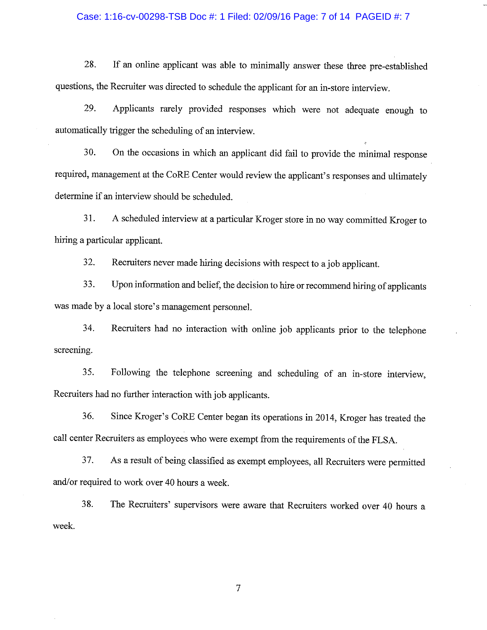### Case: 1:16-cv-00298-TSB Doc #: 1 Filed: 02/09/16 Page: 7 of 14 PAGEID #: 7

If an online applicant was able to minimally answer these three pre-established 28. questions, the Recruiter was directed to schedule the applicant for an in-store interview.

29. Applicants rarely provided responses which were not adequate enough to automatically trigger the scheduling of an interview.

On the occasions in which an applicant did fail to provide the minimal response 30. required, management at the CoRE Center would review the applicant's responses and ultimately determine if an interview should be scheduled.

A scheduled interview at a particular Kroger store in no way committed Kroger to 31. hiring a particular applicant.

32. Recruiters never made hiring decisions with respect to a job applicant.

33. Upon information and belief, the decision to hire or recommend hiring of applicants was made by a local store's management personnel.

34. Recruiters had no interaction with online job applicants prior to the telephone screening.

Following the telephone screening and scheduling of an in-store interview, 35. Recruiters had no further interaction with job applicants.

36. Since Kroger's CoRE Center began its operations in 2014, Kroger has treated the call center Recruiters as employees who were exempt from the requirements of the FLSA.

37. As a result of being classified as exempt employees, all Recruiters were permitted and/or required to work over 40 hours a week.

38. The Recruiters' supervisors were aware that Recruiters worked over 40 hours a week.

 $\overline{7}$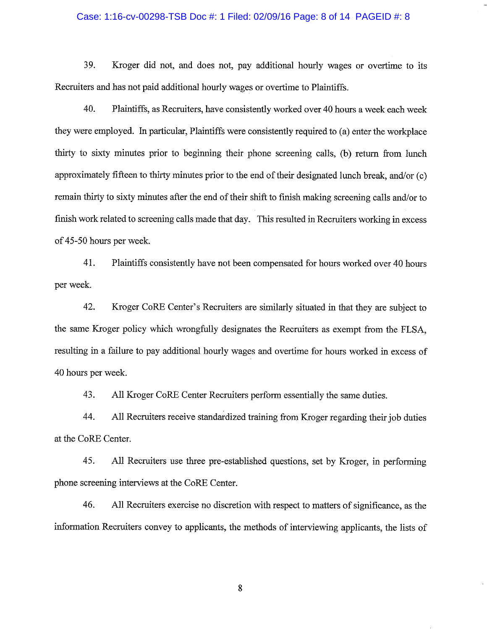### Case: 1:16-cv-00298-TSB Doc #: 1 Filed: 02/09/16 Page: 8 of 14 PAGEID #: 8

39. Kroger did not, and does not, pay additional hourly wages or overtime to its Recruiters and has not paid additional hourly wages or overtime to Plaintiffs.

40. Plaintiffs, as Recruiters, have consistently worked over 40 hours a week each week they were employed. In particular, Plaintiffs were consistently required to (a) enter the workplace thirty to sixty minutes prior to beginning their phone screening calls, (b) return from lunch approximately fifteen to thirty minutes prior to the end of their designated lunch break, and/or (c) remain thirty to sixty minutes after the end of their shift to finish making screening calls and/or to finish work related to screening calls made that day. This resulted in Recruiters working in excess of 45-50 hours per week.

41. Plaintiffs consistently have not been compensated for hours worked over 40 hours per week.

42. Kroger CoRE Center's Recruiters are similarly situated in that they are subject to the same Kroger policy which wrongfully designates the Recruiters as exempt from the FLSA, resulting in a failure to pay additional hourly wages and overtime for hours worked in excess of 40 hours per week.

43. All Kroger CoRE Center Recruiters perform essentially the same duties.

All Recruiters receive standardized training from Kroger regarding their job duties 44. at the CoRE Center.

45. All Recruiters use three pre-established questions, set by Kroger, in performing phone screening interviews at the CoRE Center.

46. All Recruiters exercise no discretion with respect to matters of significance, as the information Recruiters convey to applicants, the methods of interviewing applicants, the lists of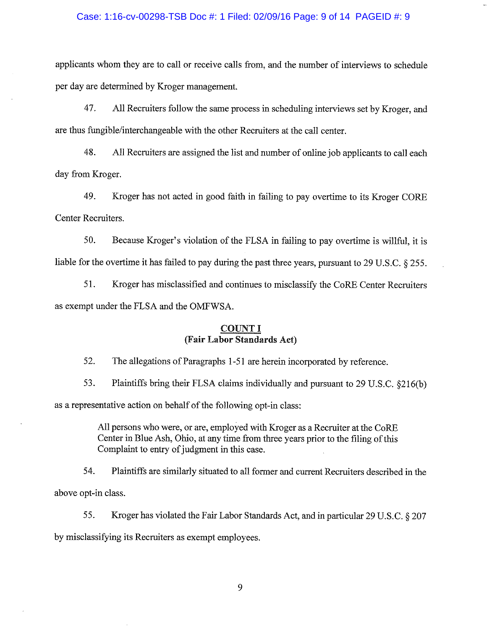#### Case: 1:16-cv-00298-TSB Doc #: 1 Filed: 02/09/16 Page: 9 of 14 PAGEID #: 9

applicants whom they are to call or receive calls from, and the number of interviews to schedule per day are determined by Kroger management.

47. All Recruiters follow the same process in scheduling interviews set by Kroger, and are thus fungible/interchangeable with the other Recruiters at the call center.

48. All Recruiters are assigned the list and number of online job applicants to call each day from Kroger.

49. Kroger has not acted in good faith in failing to pay overtime to its Kroger CORE Center Recruiters.

Because Kroger's violation of the FLSA in failing to pay overtime is willful, it is 50. liable for the overtime it has failed to pay during the past three years, pursuant to 29 U.S.C. § 255.

51. Kroger has misclassified and continues to misclassify the CoRE Center Recruiters as exempt under the FLSA and the OMFWSA.

## **COUNT I** (Fair Labor Standards Act)

52. The allegations of Paragraphs 1-51 are herein incorporated by reference.

53. Plaintiffs bring their FLSA claims individually and pursuant to 29 U.S.C. §216(b) as a representative action on behalf of the following opt-in class:

> All persons who were, or are, employed with Kroger as a Recruiter at the CoRE Center in Blue Ash, Ohio, at any time from three years prior to the filing of this Complaint to entry of judgment in this case.

54. Plaintiffs are similarly situated to all former and current Recruiters described in the above opt-in class.

55. Kroger has violated the Fair Labor Standards Act, and in particular 29 U.S.C. § 207 by misclassifying its Recruiters as exempt employees.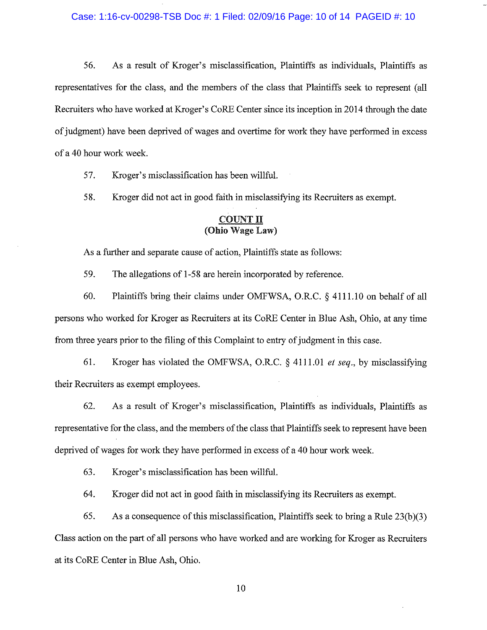56. As a result of Kroger's misclassification, Plaintiffs as individuals, Plaintiffs as representatives for the class, and the members of the class that Plaintiffs seek to represent (all Recruiters who have worked at Kroger's CoRE Center since its inception in 2014 through the date of judgment) have been deprived of wages and overtime for work they have performed in excess of a 40 hour work week.

57. Kroger's misclassification has been willful.

58. Kroger did not act in good faith in misclassifying its Recruiters as exempt.

## **COUNT II** (Ohio Wage Law)

As a further and separate cause of action, Plaintiffs state as follows:

59. The allegations of 1-58 are herein incorporated by reference.

60. Plaintiffs bring their claims under OMFWSA, O.R.C. § 4111.10 on behalf of all persons who worked for Kroger as Recruiters at its CoRE Center in Blue Ash, Ohio, at any time from three years prior to the filing of this Complaint to entry of judgment in this case.

61. Kroger has violated the OMFWSA, O.R.C. § 4111.01 et seq., by misclassifying their Recruiters as exempt employees.

62. As a result of Kroger's misclassification, Plaintiffs as individuals, Plaintiffs as representative for the class, and the members of the class that Plaintiffs seek to represent have been deprived of wages for work they have performed in excess of a 40 hour work week.

63. Kroger's misclassification has been willful.

64. Kroger did not act in good faith in misclassifying its Recruiters as exempt.

65. As a consequence of this misclassification, Plaintiffs seek to bring a Rule  $23(b)(3)$ Class action on the part of all persons who have worked and are working for Kroger as Recruiters at its CoRE Center in Blue Ash, Ohio.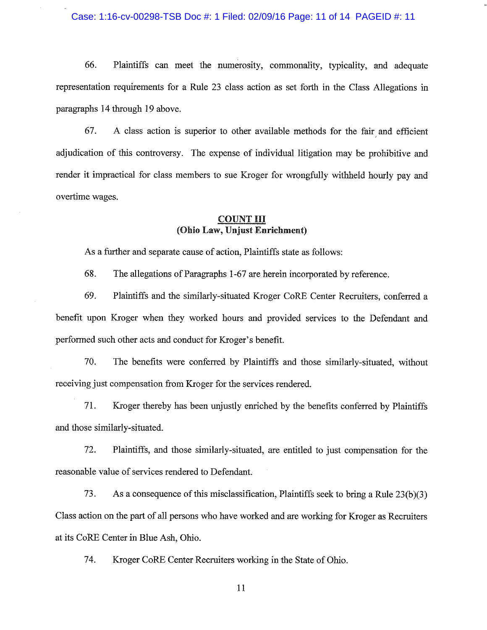### Case: 1:16-cv-00298-TSB Doc #: 1 Filed: 02/09/16 Page: 11 of 14 PAGEID #: 11

66. Plaintiffs can meet the numerosity, commonality, typicality, and adequate representation requirements for a Rule 23 class action as set forth in the Class Allegations in paragraphs 14 through 19 above.

67. A class action is superior to other available methods for the fair and efficient adjudication of this controversy. The expense of individual litigation may be prohibitive and render it impractical for class members to sue Kroger for wrongfully withheld hourly pay and overtime wages.

## **COUNT III** (Ohio Law, Unjust Enrichment)

As a further and separate cause of action, Plaintiffs state as follows:

68. The allegations of Paragraphs 1-67 are herein incorporated by reference.

69. Plaintiffs and the similarly-situated Kroger CoRE Center Recruiters, conferred a benefit upon Kroger when they worked hours and provided services to the Defendant and performed such other acts and conduct for Kroger's benefit.

70. The benefits were conferred by Plaintiffs and those similarly-situated, without receiving just compensation from Kroger for the services rendered.

71. Kroger thereby has been unjustly enriched by the benefits conferred by Plaintiffs and those similarly-situated.

72. Plaintiffs, and those similarly-situated, are entitled to just compensation for the reasonable value of services rendered to Defendant.

73. As a consequence of this misclassification, Plaintiffs seek to bring a Rule 23(b)(3) Class action on the part of all persons who have worked and are working for Kroger as Recruiters at its CoRE Center in Blue Ash, Ohio.

74. Kroger CoRE Center Recruiters working in the State of Ohio.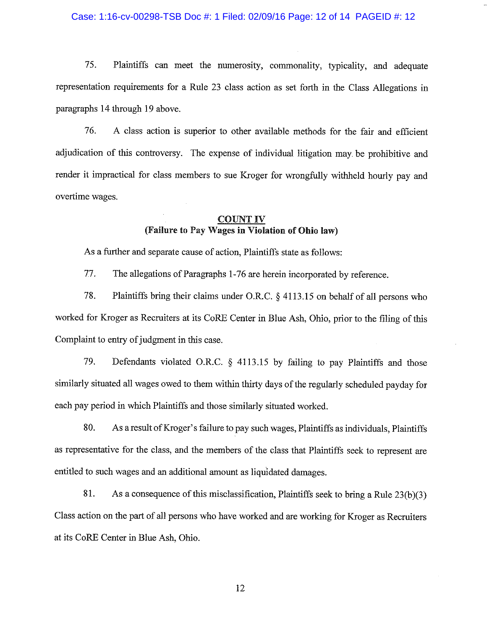### Case: 1:16-cv-00298-TSB Doc #: 1 Filed: 02/09/16 Page: 12 of 14 PAGEID #: 12

75. Plaintiffs can meet the numerosity, commonality, typicality, and adequate representation requirements for a Rule 23 class action as set forth in the Class Allegations in paragraphs 14 through 19 above.

76. A class action is superior to other available methods for the fair and efficient adjudication of this controversy. The expense of individual litigation may be prohibitive and render it impractical for class members to sue Kroger for wrongfully withheld hourly pay and overtime wages.

## **COUNT IV** (Failure to Pay Wages in Violation of Ohio law)

As a further and separate cause of action, Plaintiffs state as follows:

77. The allegations of Paragraphs 1-76 are herein incorporated by reference.

78. Plaintiffs bring their claims under O.R.C.  $\frac{1}{2}$  4113.15 on behalf of all persons who worked for Kroger as Recruiters at its CoRE Center in Blue Ash, Ohio, prior to the filing of this Complaint to entry of judgment in this case.

79. Defendants violated O.R.C.  $\S$  4113.15 by failing to pay Plaintiffs and those similarly situated all wages owed to them within thirty days of the regularly scheduled payday for each pay period in which Plaintiffs and those similarly situated worked.

80. As a result of Kroger's failure to pay such wages, Plaintiffs as individuals, Plaintiffs as representative for the class, and the members of the class that Plaintiffs seek to represent are entitled to such wages and an additional amount as liquidated damages.

81. As a consequence of this misclassification, Plaintiffs seek to bring a Rule 23(b)(3) Class action on the part of all persons who have worked and are working for Kroger as Recruiters at its CoRE Center in Blue Ash, Ohio.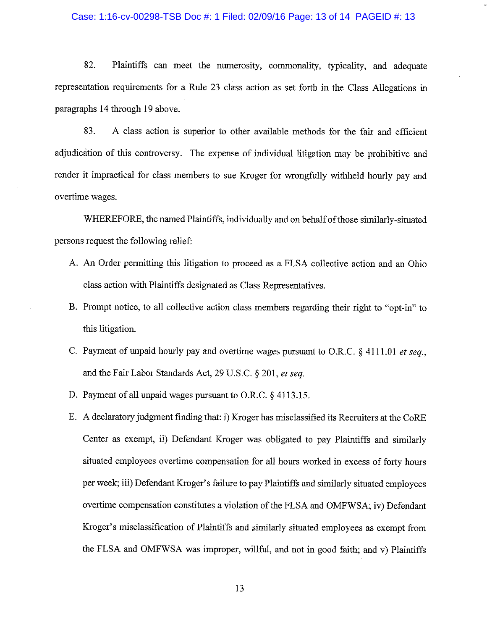#### Case: 1:16-cv-00298-TSB Doc #: 1 Filed: 02/09/16 Page: 13 of 14 PAGEID #: 13

82. Plaintiffs can meet the numerosity, commonality, typicality, and adequate representation requirements for a Rule 23 class action as set forth in the Class Allegations in paragraphs 14 through 19 above.

83. A class action is superior to other available methods for the fair and efficient adjudication of this controversy. The expense of individual litigation may be prohibitive and render it impractical for class members to sue Kroger for wrongfully withheld hourly pay and overtime wages.

WHEREFORE, the named Plaintiffs, individually and on behalf of those similarly-situated persons request the following relief:

- A. An Order permitting this litigation to proceed as a FLSA collective action and an Ohio class action with Plaintiffs designated as Class Representatives.
- B. Prompt notice, to all collective action class members regarding their right to "opt-in" to this litigation.
- C. Payment of unpaid hourly pay and overtime wages pursuant to O.R.C.  $\S$  4111.01 et seq., and the Fair Labor Standards Act, 29 U.S.C. § 201, et seq.
- D. Payment of all unpaid wages pursuant to O.R.C.  $\S$  4113.15.
- E. A declaratory judgment finding that: i) Kroger has misclassified its Recruiters at the CoRE Center as exempt, ii) Defendant Kroger was obligated to pay Plaintiffs and similarly situated employees overtime compensation for all hours worked in excess of forty hours per week; iii) Defendant Kroger's failure to pay Plaintiffs and similarly situated employees overtime compensation constitutes a violation of the FLSA and OMFWSA; iv) Defendant Kroger's misclassification of Plaintiffs and similarly situated employees as exempt from the FLSA and OMFWSA was improper, willful, and not in good faith; and v) Plaintiffs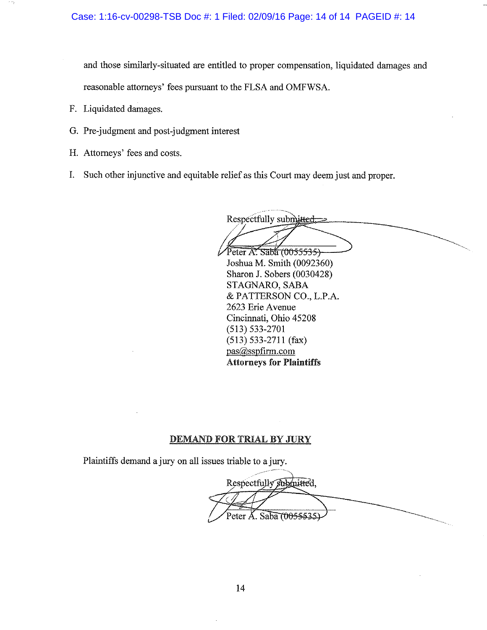and those similarly-situated are entitled to proper compensation, liquidated damages and reasonable attorneys' fees pursuant to the FLSA and OMFWSA.

- F. Liquidated damages.
- G. Pre-judgment and post-judgment interest
- H. Attorneys' fees and costs.
- I. Such other injunctive and equitable relief as this Court may deem just and proper.

Respectfully submitted, Peter A. Saba (0055535) Joshua M. Smith (0092360)

Sharon J. Sobers (0030428) STAGNARO, SABA & PATTERSON CO., L.P.A. 2623 Erie Avenue Cincinnati, Ohio 45208  $(513) 533 - 2701$  $(513) 533-2711$  (fax) pas@sspfirm.com **Attorneys for Plaintiffs** 

## **DEMAND FOR TRIAL BY JURY**

Plaintiffs demand a jury on all issues triable to a jury.

Respectfully submitted. Peter A. Saba (0055535.)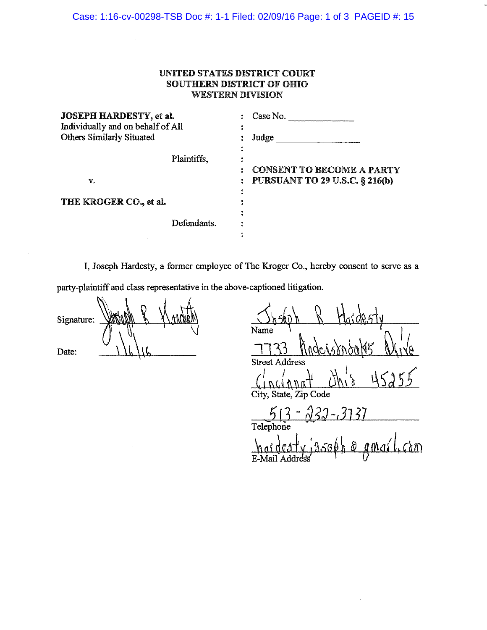## **UNITED STATES DISTRICT COURT SOUTHERN DISTRICT OF OHIO WESTERN DIVISION**

| <b>JOSEPH HARDESTY, et al.</b>    |             | Case No.                              |
|-----------------------------------|-------------|---------------------------------------|
| Individually and on behalf of All | ٠           |                                       |
| <b>Others Similarly Situated</b>  |             | Judge                                 |
|                                   |             |                                       |
|                                   | Plaintiffs, |                                       |
|                                   |             | <b>CONSENT TO BECOME A PARTY</b>      |
| v.                                |             | <b>PURSUANT TO 29 U.S.C. § 216(b)</b> |
|                                   |             |                                       |
| THE KROGER CO., et al.            |             |                                       |
|                                   |             |                                       |
|                                   | Defendants. |                                       |
|                                   |             |                                       |

I, Joseph Hardesty, a former employee of The Kroger Co., hereby consent to serve as a party-plaintiff and class representative in the above-captioned litigation.

Signature: Date:

| Name                          |
|-------------------------------|
| ndersondats                   |
| <b>Street Address</b>         |
| $dh'_{12}$<br>15255<br>incinn |
| City, State, Zip Code         |
| $22 - 3137$<br>$513 -$        |
| Telephone                     |
| noideaty jasoph o amail, com  |
| E-Mail Addı                   |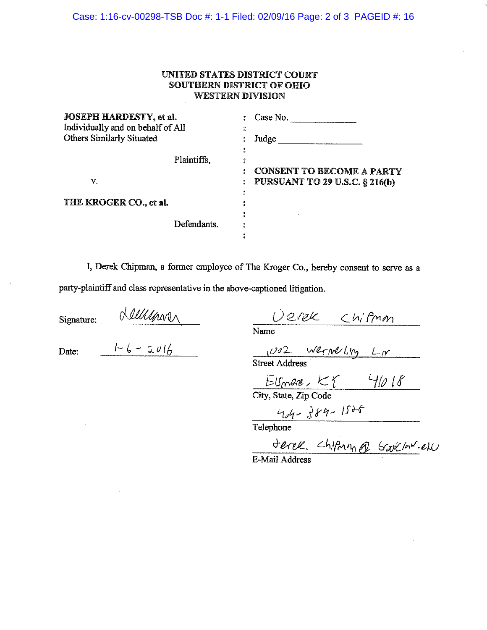Case: 1:16-cv-00298-TSB Doc #: 1-1 Filed: 02/09/16 Page: 2 of 3 PAGEID #: 16

## **UNITED STATES DISTRICT COURT SOUTHERN DISTRICT OF OHIO WESTERN DIVISION**

| <b>JOSEPH HARDESTY, et al.</b><br>Individually and on behalf of All |             | Case No.                              |  |  |
|---------------------------------------------------------------------|-------------|---------------------------------------|--|--|
|                                                                     |             |                                       |  |  |
| <b>Others Similarly Situated</b>                                    |             | Judge                                 |  |  |
|                                                                     |             |                                       |  |  |
|                                                                     | Plaintiffs, |                                       |  |  |
|                                                                     |             | <b>CONSENT TO BECOME A PARTY</b>      |  |  |
| v.                                                                  |             | <b>PURSUANT TO 29 U.S.C. § 216(b)</b> |  |  |
|                                                                     |             |                                       |  |  |
| THE KROGER CO., et al.                                              |             |                                       |  |  |
|                                                                     |             |                                       |  |  |
|                                                                     | Defendants. |                                       |  |  |
|                                                                     |             |                                       |  |  |

I, Derek Chipman, a former employee of The Kroger Co., hereby consent to serve as a party-plaintiff and class representative in the above-captioned litigation.

Signature:  $\frac{1-6-2016}{1-6-2016}$ 

 $\frac{DCEK}{Name}$  Chifmon<br> $\frac{1002}{WerW}$ <br>Street Address

 $55$ <br>City, State, Zip Code

 $\frac{404 - 384 - 1536}{\text{Telephone}}$ 

Jerek Chipan @ Garllarel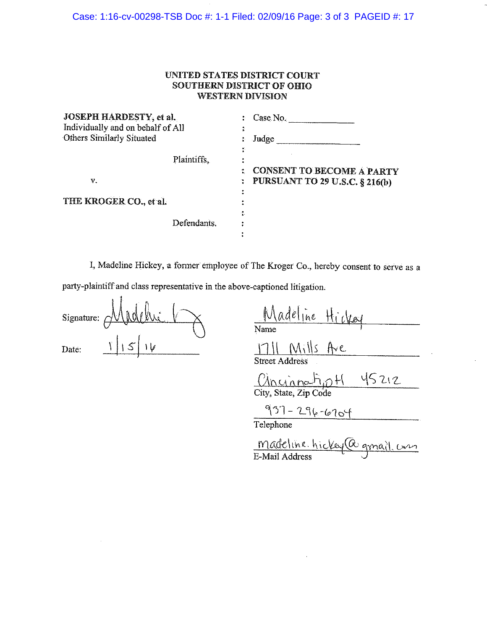## **UNITED STATES DISTRICT COURT SOUTHERN DISTRICT OF OHIO WESTERN DIVISION**

| JOSEPH HARDESTY, et al.           |             | Case No.                              |  |  |
|-----------------------------------|-------------|---------------------------------------|--|--|
| Individually and on behalf of All |             | 6                                     |  |  |
| <b>Others Similarly Situated</b>  |             | Judge                                 |  |  |
|                                   | Plaintiffs. |                                       |  |  |
|                                   |             | <b>CONSENT TO BECOME A PARTY</b>      |  |  |
| v.                                |             | <b>PURSUANT TO 29 U.S.C. § 216(b)</b> |  |  |
|                                   |             |                                       |  |  |
| THE KROGER CO., et al.            |             |                                       |  |  |
|                                   |             | ٥.                                    |  |  |
|                                   | Defendants. |                                       |  |  |
|                                   |             |                                       |  |  |

I, Madeline Hickey, a former employee of The Kroger Co., hereby consent to serve as a party-plaintiff and class representative in the above-captioned litigation.

| Signature: | أمثلا | À |  |
|------------|-------|---|--|
|            |       |   |  |
| Date:      |       |   |  |

Madeline Hickey<br>Name<br>1711 Mills Ave

 $0$  mannahp  $H$  45212

 $937 - 296 - 6704$ 

Madeline. hickey (a gmail com